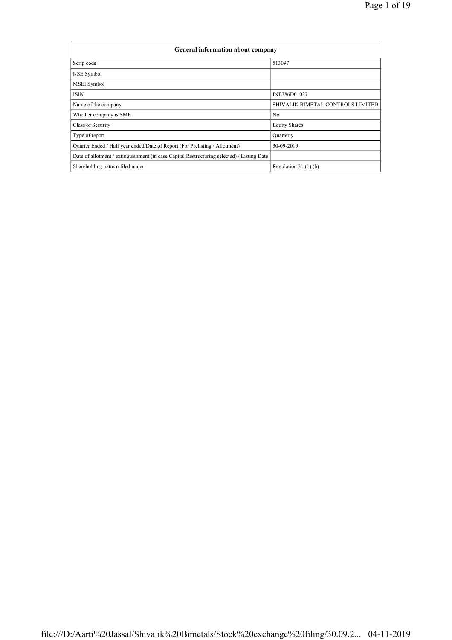|                                                                                            | <b>General information about company</b> |  |  |  |  |  |  |  |
|--------------------------------------------------------------------------------------------|------------------------------------------|--|--|--|--|--|--|--|
| Scrip code                                                                                 | 513097                                   |  |  |  |  |  |  |  |
| NSE Symbol                                                                                 |                                          |  |  |  |  |  |  |  |
| <b>MSEI</b> Symbol                                                                         |                                          |  |  |  |  |  |  |  |
| <b>ISIN</b>                                                                                | INE386D01027                             |  |  |  |  |  |  |  |
| Name of the company                                                                        | SHIVALIK BIMETAL CONTROLS LIMITED        |  |  |  |  |  |  |  |
| Whether company is SME                                                                     | N <sub>0</sub>                           |  |  |  |  |  |  |  |
| Class of Security                                                                          | <b>Equity Shares</b>                     |  |  |  |  |  |  |  |
| Type of report                                                                             | Quarterly                                |  |  |  |  |  |  |  |
| Quarter Ended / Half year ended/Date of Report (For Prelisting / Allotment)                | 30-09-2019                               |  |  |  |  |  |  |  |
| Date of allotment / extinguishment (in case Capital Restructuring selected) / Listing Date |                                          |  |  |  |  |  |  |  |
| Shareholding pattern filed under                                                           | Regulation $31(1)(b)$                    |  |  |  |  |  |  |  |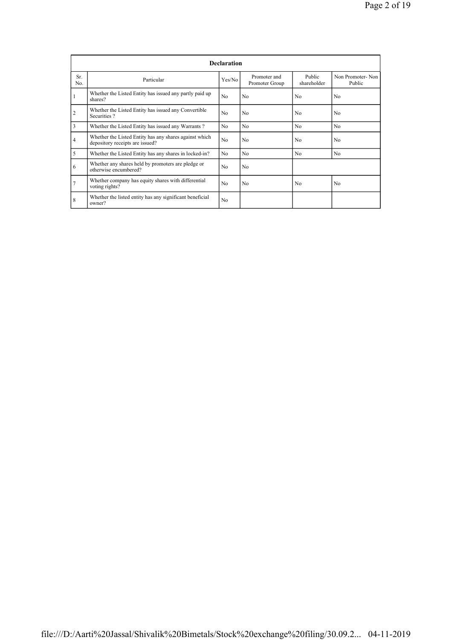|                | <b>Declaration</b>                                                                        |                |                                |                       |                            |  |
|----------------|-------------------------------------------------------------------------------------------|----------------|--------------------------------|-----------------------|----------------------------|--|
| Sr.<br>No.     | Particular                                                                                | Yes/No         | Promoter and<br>Promoter Group | Public<br>shareholder | Non Promoter-Non<br>Public |  |
|                | Whether the Listed Entity has issued any partly paid up<br>shares?                        | No             | N <sub>0</sub>                 | No                    | N <sub>0</sub>             |  |
| $\overline{2}$ | Whether the Listed Entity has issued any Convertible<br>Securities?                       | No             | N <sub>0</sub>                 | No                    | No                         |  |
| 3              | Whether the Listed Entity has issued any Warrants?                                        | N <sub>0</sub> | N <sub>0</sub>                 | N <sub>0</sub>        | N <sub>0</sub>             |  |
| $\overline{4}$ | Whether the Listed Entity has any shares against which<br>depository receipts are issued? | No             | N <sub>0</sub>                 | N <sub>0</sub>        | No.                        |  |
| 5              | Whether the Listed Entity has any shares in locked-in?                                    | N <sub>0</sub> | N <sub>0</sub>                 | No                    | N <sub>0</sub>             |  |
| 6              | Whether any shares held by promoters are pledge or<br>otherwise encumbered?               | No             | N <sub>0</sub>                 |                       |                            |  |
| $\overline{7}$ | Whether company has equity shares with differential<br>voting rights?                     | N <sub>0</sub> | N <sub>0</sub>                 | No                    | N <sub>0</sub>             |  |
| 8              | Whether the listed entity has any significant beneficial<br>owner?                        | No             |                                |                       |                            |  |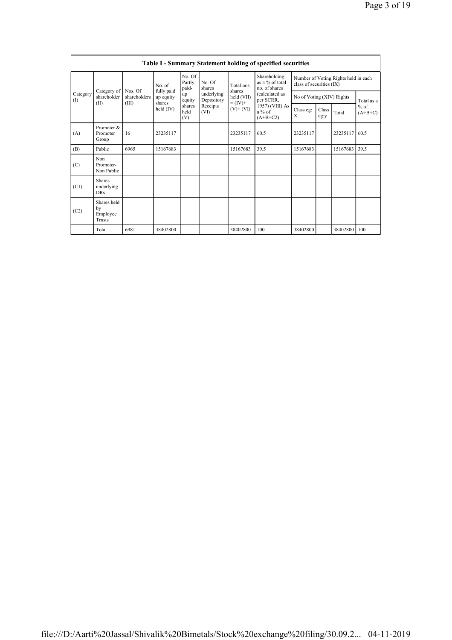|                 |                                           |                                        |                         |                           |                          |                              | <b>Table I - Summary Statement holding of specified securities</b>                                                           |                                                                  |               |          |                                   |
|-----------------|-------------------------------------------|----------------------------------------|-------------------------|---------------------------|--------------------------|------------------------------|------------------------------------------------------------------------------------------------------------------------------|------------------------------------------------------------------|---------------|----------|-----------------------------------|
|                 |                                           | Category of<br>Nos. Of<br>shareholders | No. of                  | No. Of<br>Partly<br>paid- | No. Of<br>shares         | Total nos.                   | Shareholding<br>as a % of total<br>no. of shares<br>(calculated as<br>per SCRR,<br>1957) (VIII) As<br>$a\%$ of<br>$(A+B+C2)$ | Number of Voting Rights held in each<br>class of securities (IX) |               |          |                                   |
| Category<br>(I) | shareholder                               |                                        | fully paid<br>up equity | up<br>equity              | underlying<br>Depository | shares<br>held (VII)         |                                                                                                                              | No of Voting (XIV) Rights                                        |               |          | Total as a<br>$%$ of<br>$(A+B+C)$ |
|                 | (II)                                      | (III)                                  | shares<br>held (IV)     | shares<br>held<br>(V)     | Receipts<br>(VI)         | $= (IV) +$<br>$(V)$ + $(VI)$ |                                                                                                                              | Class eg:<br>X                                                   | Class<br>eg:y | Total    |                                   |
| (A)             | Promoter &<br>Promoter<br>Group           | 16                                     | 23235117                |                           |                          | 23235117                     | 60.5                                                                                                                         | 23235117                                                         |               | 23235117 | 60.5                              |
| (B)             | Public                                    | 6965                                   | 15167683                |                           |                          | 15167683                     | 39.5                                                                                                                         | 15167683                                                         |               | 15167683 | 39.5                              |
| (C)             | Non<br>Promoter-<br>Non Public            |                                        |                         |                           |                          |                              |                                                                                                                              |                                                                  |               |          |                                   |
| (C1)            | <b>Shares</b><br>underlying<br><b>DRs</b> |                                        |                         |                           |                          |                              |                                                                                                                              |                                                                  |               |          |                                   |
| (C2)            | Shares held<br>by<br>Employee<br>Trusts   |                                        |                         |                           |                          |                              |                                                                                                                              |                                                                  |               |          |                                   |
|                 | Total                                     | 6981                                   | 38402800                |                           |                          | 38402800                     | 100                                                                                                                          | 38402800                                                         |               | 38402800 | 100                               |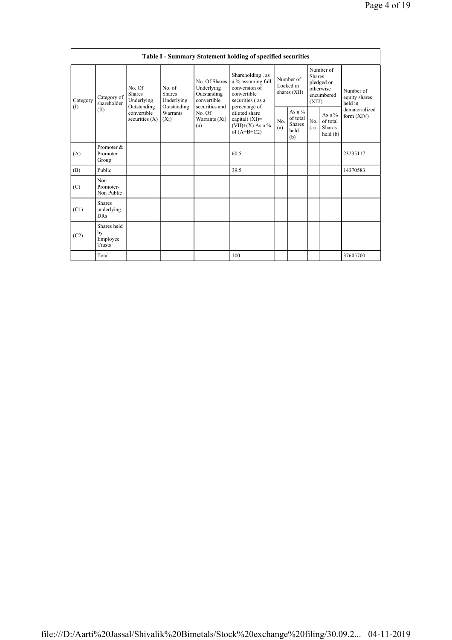|                 |                                                                              |                                       |                           |                                                                                                               | Table I - Summary Statement holding of specified securities                                                |                                        |                                               |                                                                               |                                                   |                                       |
|-----------------|------------------------------------------------------------------------------|---------------------------------------|---------------------------|---------------------------------------------------------------------------------------------------------------|------------------------------------------------------------------------------------------------------------|----------------------------------------|-----------------------------------------------|-------------------------------------------------------------------------------|---------------------------------------------------|---------------------------------------|
| Category<br>(1) | No. Of<br><b>Shares</b><br>Category of<br>shareholder<br>Outstanding<br>(II) | No. of<br><b>Shares</b><br>Underlying | Underlying<br>Outstanding | No. Of Shares<br>Underlying<br>Outstanding<br>convertible<br>securities and<br>No. Of<br>Warrants (Xi)<br>(a) | Shareholding, as<br>a % assuming full<br>conversion of<br>convertible<br>securities (as a<br>percentage of | Number of<br>Locked in<br>shares (XII) |                                               | Number of<br><b>Shares</b><br>pledged or<br>otherwise<br>encumbered<br>(XIII) |                                                   | Number of<br>equity shares<br>held in |
|                 |                                                                              | convertible<br>securities $(X)$       | Warrants<br>$(X_i)$       |                                                                                                               | diluted share<br>capital) $(XI)$ =<br>$(VII)+(X)$ As a %<br>of $(A+B+C2)$                                  | No.<br>(a)                             | As a $%$<br>of total<br>Shares<br>held<br>(b) | No.<br>(a)                                                                    | As a $%$<br>of total<br><b>Shares</b><br>held (b) | dematerialized<br>form $(XIV)$        |
| (A)             | Promoter &<br>Promoter<br>Group                                              |                                       |                           |                                                                                                               | 60.5                                                                                                       |                                        |                                               |                                                                               |                                                   | 23235117                              |
| (B)             | Public                                                                       |                                       |                           |                                                                                                               | 39.5                                                                                                       |                                        |                                               |                                                                               |                                                   | 14370583                              |
| (C)             | Non<br>Promoter-<br>Non Public                                               |                                       |                           |                                                                                                               |                                                                                                            |                                        |                                               |                                                                               |                                                   |                                       |
| (C1)            | <b>Shares</b><br>underlying<br><b>DRs</b>                                    |                                       |                           |                                                                                                               |                                                                                                            |                                        |                                               |                                                                               |                                                   |                                       |
| (C2)            | Shares held<br>by<br>Employee<br>Trusts                                      |                                       |                           |                                                                                                               |                                                                                                            |                                        |                                               |                                                                               |                                                   |                                       |
|                 | Total                                                                        |                                       |                           |                                                                                                               | 100                                                                                                        |                                        |                                               |                                                                               |                                                   | 37605700                              |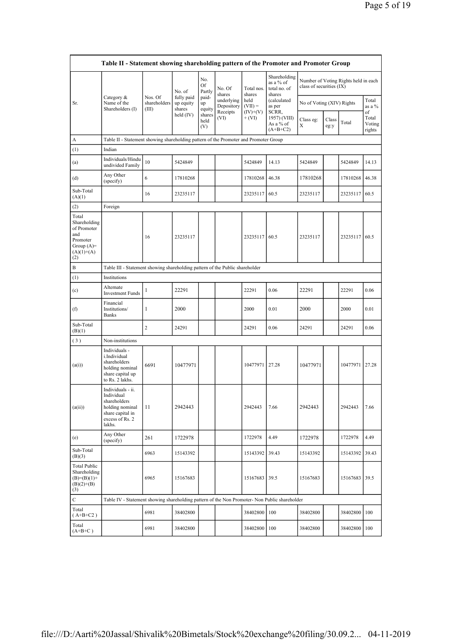|                                                                                                | Table II - Statement showing shareholding pattern of the Promoter and Promoter Group                                |                                  |                                   |                            |                                      |                        |                                                     |                           |               |                                      |                                 |
|------------------------------------------------------------------------------------------------|---------------------------------------------------------------------------------------------------------------------|----------------------------------|-----------------------------------|----------------------------|--------------------------------------|------------------------|-----------------------------------------------------|---------------------------|---------------|--------------------------------------|---------------------------------|
|                                                                                                |                                                                                                                     |                                  | No. of                            | No.<br><b>Of</b><br>Partly | No. Of<br>shares                     | Total nos.<br>shares   | Shareholding<br>as a % of<br>total no. of<br>shares | class of securities (IX)  |               | Number of Voting Rights held in each |                                 |
| Sr.                                                                                            | Category $\&$<br>Name of the<br>Shareholders (I)                                                                    | Nos. Of<br>shareholders<br>(III) | fully paid<br>up equity<br>shares | paid-<br>up<br>equity      | underlying<br>Depository<br>Receipts | held<br>$(VII) =$      | (calculated<br>as per                               | No of Voting (XIV) Rights |               |                                      | Total<br>as a %                 |
|                                                                                                |                                                                                                                     |                                  | held (IV)                         | shares<br>held<br>(V)      | (VI)                                 | $(IV)+(V)$<br>$+ (VI)$ | SCRR,<br>1957) (VIII)<br>As a % of<br>$(A+B+C2)$    | Class eg:<br>X            | Class<br>eg:y | Total                                | of<br>Total<br>Voting<br>rights |
| A                                                                                              | Table II - Statement showing shareholding pattern of the Promoter and Promoter Group                                |                                  |                                   |                            |                                      |                        |                                                     |                           |               |                                      |                                 |
| (1)                                                                                            | Indian                                                                                                              |                                  |                                   |                            |                                      |                        |                                                     |                           |               |                                      |                                 |
| (a)                                                                                            | Individuals/Hindu<br>undivided Family                                                                               | 10                               | 5424849                           |                            |                                      | 5424849                | 14.13                                               | 5424849                   |               | 5424849                              | 14.13                           |
| (d)                                                                                            | Any Other<br>(specify)                                                                                              | 6                                | 17810268                          |                            |                                      | 17810268               | 46.38                                               | 17810268                  |               | 17810268                             | 46.38                           |
| Sub-Total<br>(A)(1)                                                                            |                                                                                                                     | 16                               | 23235117                          |                            |                                      | 23235117               | 60.5                                                | 23235117                  |               | 23235117                             | 60.5                            |
| (2)                                                                                            | Foreign                                                                                                             |                                  |                                   |                            |                                      |                        |                                                     |                           |               |                                      |                                 |
| Total<br>Shareholding<br>of Promoter<br>and<br>Promoter<br>Group $(A)=$<br>$(A)(1)+(A)$<br>(2) |                                                                                                                     | 16                               | 23235117                          |                            |                                      | 23235117               | 60.5                                                | 23235117                  |               | 23235117                             | 60.5                            |
| B                                                                                              | Table III - Statement showing shareholding pattern of the Public shareholder                                        |                                  |                                   |                            |                                      |                        |                                                     |                           |               |                                      |                                 |
| (1)                                                                                            | Institutions                                                                                                        |                                  |                                   |                            |                                      |                        |                                                     |                           |               |                                      |                                 |
| (c)                                                                                            | Alternate<br><b>Investment Funds</b>                                                                                | $\mathbf{1}$                     | 22291                             |                            |                                      | 22291                  | 0.06                                                | 22291                     |               | 22291                                | 0.06                            |
| (f)                                                                                            | Financial<br>Institutions/<br><b>Banks</b>                                                                          | $\mathbf{1}$                     | 2000                              |                            |                                      | 2000                   | 0.01                                                | 2000                      |               | 2000                                 | 0.01                            |
| Sub-Total<br>(B)(1)                                                                            |                                                                                                                     | $\overline{c}$                   | 24291                             |                            |                                      | 24291                  | 0.06                                                | 24291                     |               | 24291                                | 0.06                            |
| (3)                                                                                            | Non-institutions                                                                                                    |                                  |                                   |                            |                                      |                        |                                                     |                           |               |                                      |                                 |
| (a(i))                                                                                         | Individuals -<br>i.Individual<br>shareholders<br>holding nominal<br>share capital up<br>to Rs. 2 lakhs.             | 6691                             | 10477971                          |                            |                                      | 10477971 27.28         |                                                     | 10477971                  |               | 10477971                             | 27.28                           |
| (a(ii))                                                                                        | Individuals - ii.<br>Individual<br>shareholders<br>holding nominal<br>share capital in<br>excess of Rs. 2<br>lakhs. | 11                               | 2942443                           |                            |                                      | 2942443                | 7.66                                                | 2942443                   |               | 2942443                              | 7.66                            |
| (e)                                                                                            | Any Other<br>(specify)                                                                                              | 261                              | 1722978                           |                            |                                      | 1722978                | 4.49                                                | 1722978                   |               | 1722978                              | 4.49                            |
| Sub-Total<br>(B)(3)                                                                            |                                                                                                                     | 6963                             | 15143392                          |                            |                                      | 15143392               | 39.43                                               | 15143392                  |               | 15143392                             | 39.43                           |
| <b>Total Public</b><br>Shareholding<br>$(B)= (B)(1) +$<br>$(B)(2)+(B)$<br>(3)                  |                                                                                                                     | 6965                             | 15167683                          |                            |                                      | 15167683 39.5          |                                                     | 15167683                  |               | 15167683                             | 39.5                            |
| $\mathbf C$                                                                                    | Table IV - Statement showing shareholding pattern of the Non Promoter- Non Public shareholder                       |                                  |                                   |                            |                                      |                        |                                                     |                           |               |                                      |                                 |
| Total<br>$(A+B+C2)$                                                                            |                                                                                                                     | 6981                             | 38402800                          |                            |                                      | 38402800               | 100                                                 | 38402800                  |               | 38402800                             | 100                             |
| Total<br>$(A+B+C)$                                                                             |                                                                                                                     | 6981                             | 38402800                          |                            |                                      | 38402800               | 100                                                 | 38402800                  |               | 38402800                             | 100                             |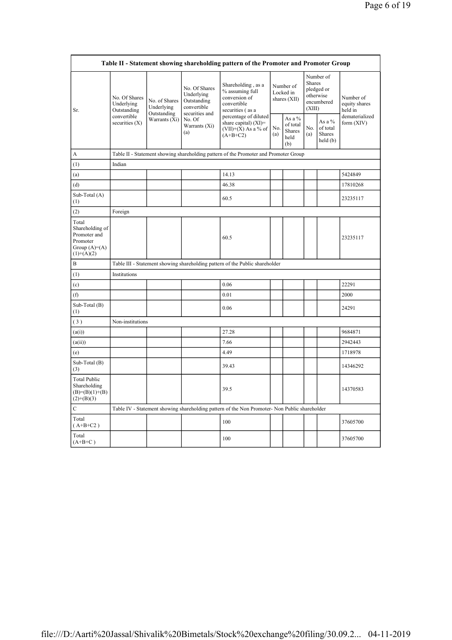|                                                                                        |                                            |                                                                                  |                                                           | Table II - Statement showing shareholding pattern of the Promoter and Promoter Group          |                                        |                                                    |                                                                               |                                         |                                       |
|----------------------------------------------------------------------------------------|--------------------------------------------|----------------------------------------------------------------------------------|-----------------------------------------------------------|-----------------------------------------------------------------------------------------------|----------------------------------------|----------------------------------------------------|-------------------------------------------------------------------------------|-----------------------------------------|---------------------------------------|
| Sr.                                                                                    | No. Of Shares<br>Underlying<br>Outstanding | No. of Shares<br>Underlying                                                      | No. Of Shares<br>Underlying<br>Outstanding<br>convertible | Shareholding, as a<br>% assuming full<br>conversion of<br>convertible<br>securities (as a     | Number of<br>Locked in<br>shares (XII) |                                                    | Number of<br><b>Shares</b><br>pledged or<br>otherwise<br>encumbered<br>(XIII) |                                         | Number of<br>equity shares<br>held in |
|                                                                                        | convertible<br>securities $(X)$            | Outstanding<br>securities and<br>Warrants (Xi)<br>No. Of<br>Warrants (Xi)<br>(a) |                                                           | percentage of diluted<br>share capital) $(XI)$ =<br>$(VII)+(X)$ As a % of<br>$(A+B+C2)$       |                                        | As a %<br>of total<br><b>Shares</b><br>held<br>(b) | No.<br>(a)                                                                    | As a %<br>of total<br>Shares<br>held(b) | dematerialized<br>form $(XIV)$        |
| A                                                                                      |                                            |                                                                                  |                                                           | Table II - Statement showing shareholding pattern of the Promoter and Promoter Group          |                                        |                                                    |                                                                               |                                         |                                       |
| (1)                                                                                    | Indian                                     |                                                                                  |                                                           |                                                                                               |                                        |                                                    |                                                                               |                                         |                                       |
| (a)                                                                                    |                                            |                                                                                  |                                                           | 14.13                                                                                         |                                        |                                                    |                                                                               |                                         | 5424849                               |
| (d)                                                                                    |                                            |                                                                                  |                                                           | 46.38                                                                                         |                                        |                                                    |                                                                               |                                         | 17810268                              |
| Sub-Total (A)<br>(1)                                                                   |                                            |                                                                                  |                                                           | 60.5                                                                                          |                                        |                                                    |                                                                               |                                         | 23235117                              |
| (2)                                                                                    | Foreign                                    |                                                                                  |                                                           |                                                                                               |                                        |                                                    |                                                                               |                                         |                                       |
| Total<br>Shareholding of<br>Promoter and<br>Promoter<br>Group $(A)=A)$<br>$(1)+(A)(2)$ |                                            |                                                                                  |                                                           | 60.5                                                                                          |                                        |                                                    |                                                                               |                                         | 23235117                              |
| B                                                                                      |                                            |                                                                                  |                                                           | Table III - Statement showing shareholding pattern of the Public shareholder                  |                                        |                                                    |                                                                               |                                         |                                       |
| (1)                                                                                    | Institutions                               |                                                                                  |                                                           |                                                                                               |                                        |                                                    |                                                                               |                                         |                                       |
| (c)                                                                                    |                                            |                                                                                  |                                                           | 0.06                                                                                          |                                        |                                                    |                                                                               |                                         | 22291                                 |
| (f)                                                                                    |                                            |                                                                                  |                                                           | 0.01                                                                                          |                                        |                                                    |                                                                               |                                         | 2000                                  |
| $Sub-Total(B)$<br>(1)                                                                  |                                            |                                                                                  |                                                           | 0.06                                                                                          |                                        |                                                    |                                                                               |                                         | 24291                                 |
| (3)                                                                                    | Non-institutions                           |                                                                                  |                                                           |                                                                                               |                                        |                                                    |                                                                               |                                         |                                       |
| (a(i))                                                                                 |                                            |                                                                                  |                                                           | 27.28                                                                                         |                                        |                                                    |                                                                               |                                         | 9684871                               |
| (a(ii))                                                                                |                                            |                                                                                  |                                                           | 7.66                                                                                          |                                        |                                                    |                                                                               |                                         | 2942443                               |
| (e)                                                                                    |                                            |                                                                                  |                                                           | 4.49                                                                                          |                                        |                                                    |                                                                               |                                         | 1718978                               |
| $Sub-Total(B)$<br>(3)                                                                  |                                            |                                                                                  |                                                           | 39.43                                                                                         |                                        |                                                    |                                                                               |                                         | 14346292                              |
| <b>Total Public</b><br>Shareholding<br>$(B)= (B)(1)+(B)$<br>$(2)+(B)(3)$               |                                            |                                                                                  |                                                           | 39.5                                                                                          |                                        |                                                    |                                                                               |                                         | 14370583                              |
| $\overline{C}$                                                                         |                                            |                                                                                  |                                                           | Table IV - Statement showing shareholding pattern of the Non Promoter- Non Public shareholder |                                        |                                                    |                                                                               |                                         |                                       |
| Total<br>$(A+B+C2)$                                                                    |                                            |                                                                                  |                                                           | 100                                                                                           |                                        |                                                    |                                                                               |                                         | 37605700                              |
| Total<br>$(A+B+C)$                                                                     |                                            |                                                                                  |                                                           | 100                                                                                           |                                        |                                                    |                                                                               |                                         | 37605700                              |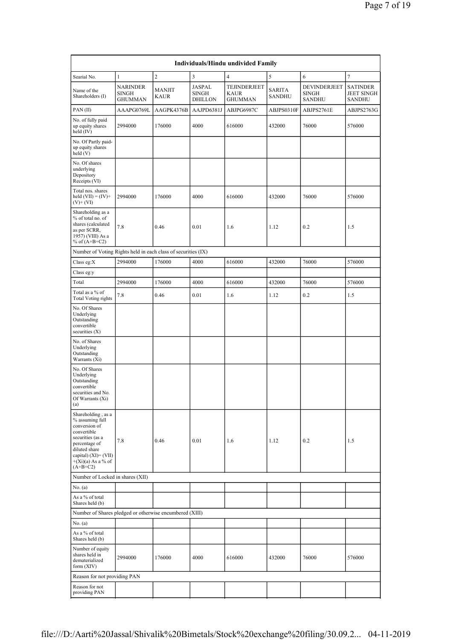| Searial No.                                                                                                                                                                                  | $\mathbf{1}$                    | $\overline{c}$        | $\overline{\mathbf{3}}$      | $\overline{4}$               | 5                              | 6                            | $\tau$                               |
|----------------------------------------------------------------------------------------------------------------------------------------------------------------------------------------------|---------------------------------|-----------------------|------------------------------|------------------------------|--------------------------------|------------------------------|--------------------------------------|
| Name of the<br>Shareholders (I)                                                                                                                                                              | <b>NARINDER</b><br><b>SINGH</b> | <b>MANJIT</b><br>KAUR | JASPAL<br>SINGH              | TEJINDERJEET<br><b>KAUR</b>  | <b>SARITA</b><br><b>SANDHU</b> | DEVINDERJEET<br><b>SINGH</b> | <b>SATINDER</b><br><b>JEET SINGH</b> |
|                                                                                                                                                                                              | <b>GHUMMAN</b><br>AAAPG0769L    | AAGPK4376B            | <b>DHILLON</b><br>AAJPD6381J | <b>GHUMMAN</b><br>ABJPG6987C | ABJPS0310F                     | <b>SANDHU</b><br>ABJPS2761E  | SANDHU<br>ABJPS2763G                 |
| PAN(II)<br>No. of fully paid                                                                                                                                                                 |                                 |                       |                              |                              |                                |                              |                                      |
| up equity shares<br>$held$ $(V)$                                                                                                                                                             | 2994000                         | 176000                | 4000                         | 616000                       | 432000                         | 76000                        | 576000                               |
| No. Of Partly paid-<br>up equity shares<br>held(V)                                                                                                                                           |                                 |                       |                              |                              |                                |                              |                                      |
| No. Of shares<br>underlying<br>Depository<br>Receipts (VI)                                                                                                                                   |                                 |                       |                              |                              |                                |                              |                                      |
| Total nos. shares<br>held $(VII) = (IV) +$<br>$(V)+(VI)$                                                                                                                                     | 2994000                         | 176000                | 4000                         | 616000                       | 432000                         | 76000                        | 576000                               |
| Shareholding as a<br>% of total no. of<br>shares (calculated<br>as per SCRR,<br>1957) (VIII) As a<br>% of $(A+B+C2)$                                                                         | 7.8                             | 0.46                  | 0.01                         | 1.6                          | 1.12                           | 0.2                          | 1.5                                  |
| Number of Voting Rights held in each class of securities (IX)                                                                                                                                |                                 |                       |                              |                              |                                |                              |                                      |
| Class eg: $X$                                                                                                                                                                                | 2994000                         | 176000                | 4000                         | 616000                       | 432000                         | 76000                        | 576000                               |
| Class eg:y                                                                                                                                                                                   |                                 |                       |                              |                              |                                |                              |                                      |
| Total                                                                                                                                                                                        | 2994000                         | 176000                | 4000                         | 616000                       | 432000                         | 76000                        | 576000                               |
| Total as a % of<br><b>Total Voting rights</b>                                                                                                                                                | 7.8                             | 0.46                  | 0.01                         | 1.6                          | 1.12                           | 0.2                          | 1.5                                  |
| No. Of Shares<br>Underlying<br>Outstanding<br>convertible<br>securities (X)                                                                                                                  |                                 |                       |                              |                              |                                |                              |                                      |
| No. of Shares<br>Underlying<br>Outstanding<br>Warrants (Xi)                                                                                                                                  |                                 |                       |                              |                              |                                |                              |                                      |
| No. Of Shares<br>Underlying<br>Outstanding<br>convertible<br>securities and No.<br>Of Warrants (Xi)<br>(a)                                                                                   |                                 |                       |                              |                              |                                |                              |                                      |
| Shareholding, as a<br>% assuming full<br>conversion of<br>convertible<br>securities (as a<br>percentage of<br>diluted share<br>capital) $(XI) = (VII)$<br>$+(Xi)(a)$ As a % of<br>$(A+B+C2)$ | 7.8                             | 0.46                  | 0.01                         | 1.6                          | 1.12                           | 0.2                          | 1.5                                  |
| Number of Locked in shares (XII)                                                                                                                                                             |                                 |                       |                              |                              |                                |                              |                                      |
| No. (a)                                                                                                                                                                                      |                                 |                       |                              |                              |                                |                              |                                      |
| As a % of total<br>Shares held (b)                                                                                                                                                           |                                 |                       |                              |                              |                                |                              |                                      |
| Number of Shares pledged or otherwise encumbered (XIII)                                                                                                                                      |                                 |                       |                              |                              |                                |                              |                                      |
| No. (a)                                                                                                                                                                                      |                                 |                       |                              |                              |                                |                              |                                      |
| As a % of total<br>Shares held (b)                                                                                                                                                           |                                 |                       |                              |                              |                                |                              |                                      |
| Number of equity<br>shares held in<br>dematerialized<br>form $(XIV)$                                                                                                                         | 2994000                         | 176000                | 4000                         | 616000                       | 432000                         | 76000                        | 576000                               |
| Reason for not providing PAN                                                                                                                                                                 |                                 |                       |                              |                              |                                |                              |                                      |
| Reason for not                                                                                                                                                                               |                                 |                       |                              |                              |                                |                              |                                      |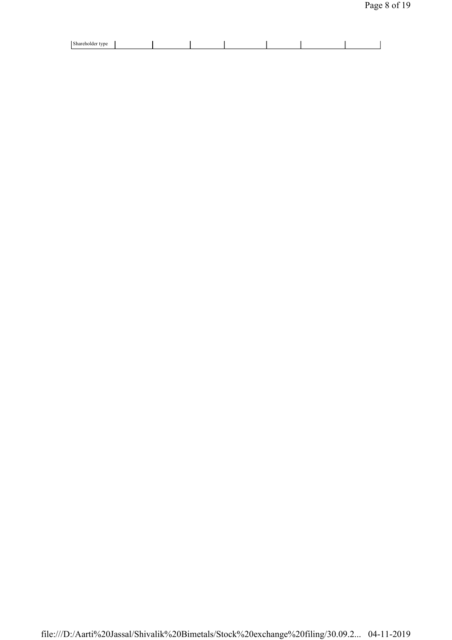| Shareholder<br><b>VDE</b><br>. . |  |  |  |  |
|----------------------------------|--|--|--|--|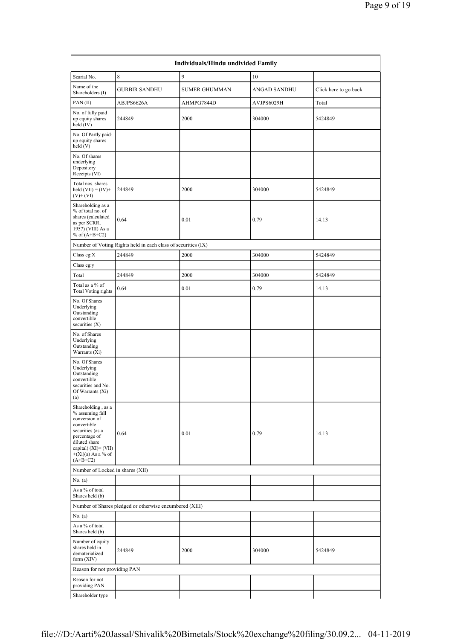|                                                                                                                                                                                              |                                                               | Individuals/Hindu undivided Family |              |                       |
|----------------------------------------------------------------------------------------------------------------------------------------------------------------------------------------------|---------------------------------------------------------------|------------------------------------|--------------|-----------------------|
| Searial No.                                                                                                                                                                                  | 8                                                             | 9                                  | 10           |                       |
| Name of the<br>Shareholders (I)                                                                                                                                                              | <b>GURBIR SANDHU</b>                                          | <b>SUMER GHUMMAN</b>               | ANGAD SANDHU | Click here to go back |
| PAN(II)                                                                                                                                                                                      | ABJPS6626A                                                    | AHMPG7844D                         | AVJPS6029H   | Total                 |
| No. of fully paid<br>up equity shares<br>held (IV)                                                                                                                                           | 244849                                                        | 2000                               | 304000       | 5424849               |
| No. Of Partly paid-<br>up equity shares<br>held (V)                                                                                                                                          |                                                               |                                    |              |                       |
| No. Of shares<br>underlying<br>Depository<br>Receipts (VI)                                                                                                                                   |                                                               |                                    |              |                       |
| Total nos. shares<br>held $(VII) = (IV) +$<br>$(V)$ + $(VI)$                                                                                                                                 | 244849                                                        | 2000                               | 304000       | 5424849               |
| Shareholding as a<br>% of total no. of<br>shares (calculated<br>as per SCRR,<br>1957) (VIII) As a<br>% of $(A+B+C2)$                                                                         | 0.64                                                          | 0.01                               | 0.79         | 14.13                 |
|                                                                                                                                                                                              | Number of Voting Rights held in each class of securities (IX) |                                    |              |                       |
| Class eg: $X$                                                                                                                                                                                | 244849                                                        | 2000                               | 304000       | 5424849               |
| Class eg:y                                                                                                                                                                                   |                                                               |                                    |              |                       |
| Total                                                                                                                                                                                        | 244849                                                        | 2000                               | 304000       | 5424849               |
| Total as a % of<br><b>Total Voting rights</b>                                                                                                                                                | 0.64                                                          | 0.01                               | 0.79         | 14.13                 |
| No. Of Shares<br>Underlying<br>Outstanding<br>convertible<br>securities $(X)$                                                                                                                |                                                               |                                    |              |                       |
| No. of Shares<br>Underlying<br>Outstanding<br>Warrants (Xi)                                                                                                                                  |                                                               |                                    |              |                       |
| No. Of Shares<br>Underlying<br>Outstanding<br>convertible<br>securities and No.<br>Of Warrants (Xi)<br>(a)                                                                                   |                                                               |                                    |              |                       |
| Shareholding, as a<br>% assuming full<br>conversion of<br>convertible<br>securities (as a<br>percentage of<br>diluted share<br>capital) $(XI) = (VII)$<br>$+(Xi)(a)$ As a % of<br>$(A+B+C2)$ | 0.64                                                          | 0.01                               | 0.79         | 14.13                 |
| Number of Locked in shares (XII)                                                                                                                                                             |                                                               |                                    |              |                       |
| No. (a)                                                                                                                                                                                      |                                                               |                                    |              |                       |
| As a % of total<br>Shares held (b)                                                                                                                                                           |                                                               |                                    |              |                       |
|                                                                                                                                                                                              | Number of Shares pledged or otherwise encumbered (XIII)       |                                    |              |                       |
| No. (a)                                                                                                                                                                                      |                                                               |                                    |              |                       |
| As a % of total<br>Shares held (b)                                                                                                                                                           |                                                               |                                    |              |                       |
| Number of equity<br>shares held in<br>dematerialized<br>form (XIV)                                                                                                                           | 244849                                                        | 2000                               | 304000       | 5424849               |
| Reason for not providing PAN                                                                                                                                                                 |                                                               |                                    |              |                       |
| Reason for not<br>providing PAN                                                                                                                                                              |                                                               |                                    |              |                       |
| Shareholder type                                                                                                                                                                             |                                                               |                                    |              |                       |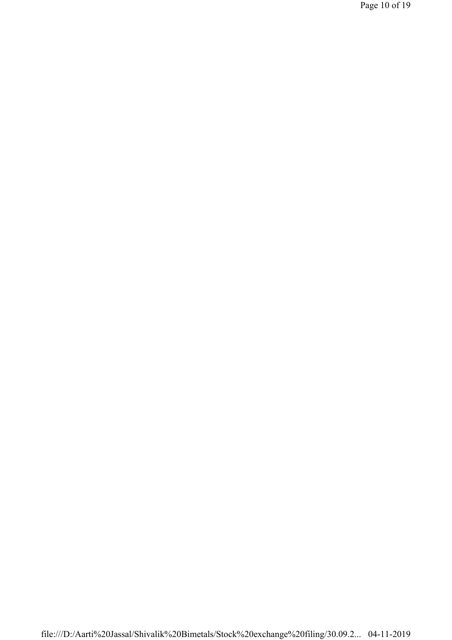Page 10 of 19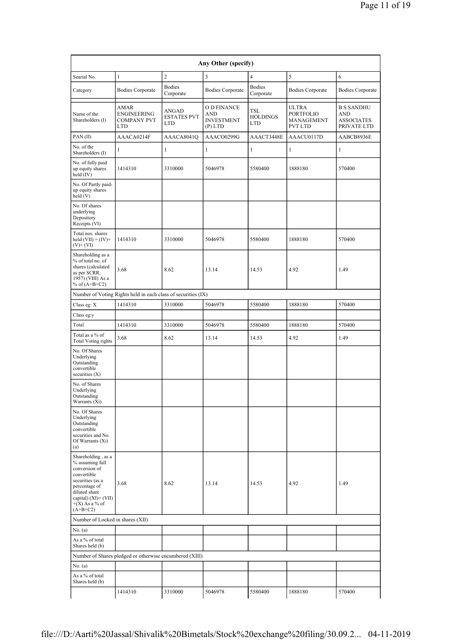|                                                                                                                                                                                          |                                                               |                                    | Any Other (specify)                                         |                                      |                                                    |                                                              |
|------------------------------------------------------------------------------------------------------------------------------------------------------------------------------------------|---------------------------------------------------------------|------------------------------------|-------------------------------------------------------------|--------------------------------------|----------------------------------------------------|--------------------------------------------------------------|
| Searial No.                                                                                                                                                                              | $\mathbf{1}$                                                  | $\overline{c}$                     | $\overline{\mathbf{3}}$                                     | $\overline{4}$                       | 5                                                  | 6                                                            |
| Category                                                                                                                                                                                 | <b>Bodies Corporate</b>                                       | <b>Bodies</b><br>Corporate         | <b>Bodies Corporate</b>                                     | <b>Bodies</b><br>Corporate           | <b>Bodies Corporate</b>                            | <b>Bodies Corporate</b>                                      |
| Name of the<br>Shareholders (I)                                                                                                                                                          | AMAR<br>ENGINEERING<br><b>COMPANY PVT</b><br><b>LTD</b>       | ANGAD<br><b>ESTATES PVT</b><br>LTD | O D FINANCE<br><b>AND</b><br><b>INVESTMENT</b><br>$(P)$ LTD | TSL<br><b>HOLDINGS</b><br><b>LTD</b> | ULTRA<br><b>PORTFOLIO</b><br>MANAGEMENT<br>PVT LTD | <b>B S SANDHU</b><br>AND<br><b>ASSOCIATES</b><br>PRIVATE LTD |
| PAN(II)                                                                                                                                                                                  | AAACA0214F                                                    | AAACA8041Q                         | AAACO0299G                                                  | AAACT3448E                           | AAACU0117D                                         | AABCB8936E                                                   |
| No. of the<br>Shareholders (I)                                                                                                                                                           | 1                                                             | 1                                  | 1                                                           | 1                                    | $\mathbf{1}$                                       | $\mathbf{1}$                                                 |
| No. of fully paid<br>up equity shares<br>held (IV)                                                                                                                                       | 1414310                                                       | 3310000                            | 5046978                                                     | 5580400                              | 1888180                                            | 570400                                                       |
| No. Of Partly paid-<br>up equity shares<br>held (V)                                                                                                                                      |                                                               |                                    |                                                             |                                      |                                                    |                                                              |
| No. Of shares<br>underlying<br>Depository<br>Receipts (VI)                                                                                                                               |                                                               |                                    |                                                             |                                      |                                                    |                                                              |
| Total nos. shares<br>held $(VII) = (IV) +$<br>$(V)$ + $(VI)$                                                                                                                             | 1414310                                                       | 3310000                            | 5046978                                                     | 5580400                              | 1888180                                            | 570400                                                       |
| Shareholding as a<br>% of total no. of<br>shares (calculated<br>as per SCRR,<br>1957) (VIII) As a<br>% of $(A+B+C2)$                                                                     | 3.68                                                          | 8.62                               | 13.14                                                       | 14.53                                | 4.92                                               | 1.49                                                         |
|                                                                                                                                                                                          | Number of Voting Rights held in each class of securities (IX) |                                    |                                                             |                                      |                                                    |                                                              |
| Class eg: X                                                                                                                                                                              | 1414310                                                       | 3310000                            | 5046978                                                     | 5580400                              | 1888180                                            | 570400                                                       |
| Class eg:y                                                                                                                                                                               |                                                               |                                    |                                                             |                                      |                                                    |                                                              |
| Total                                                                                                                                                                                    | 1414310                                                       | 3310000                            | 5046978                                                     | 5580400                              | 1888180                                            | 570400                                                       |
| Total as a % of<br><b>Total Voting rights</b>                                                                                                                                            | 3.68                                                          | 8.62                               | 13.14                                                       | 14.53                                | 4.92                                               | 1.49                                                         |
| No. Of Shares<br>Underlying<br>Outstanding<br>convertible<br>securities $(X)$                                                                                                            |                                                               |                                    |                                                             |                                      |                                                    |                                                              |
| No. of Shares<br>Underlying<br>Outstanding<br>Warrants (Xi)                                                                                                                              |                                                               |                                    |                                                             |                                      |                                                    |                                                              |
| No. Of Shares<br>Underlying<br>Outstanding<br>convertible<br>securities and No.<br>Of Warrants (Xi)<br>(a)                                                                               |                                                               |                                    |                                                             |                                      |                                                    |                                                              |
| Shareholding, as a<br>% assuming full<br>conversion of<br>convertible<br>securities (as a<br>percentage of<br>diluted share<br>capital) $(XI) = (VII)$<br>$+(X)$ As a % of<br>$(A+B+C2)$ | 3.68                                                          | 8.62                               | 13.14                                                       | 14.53                                | 4.92                                               | 1.49                                                         |
| Number of Locked in shares (XII)                                                                                                                                                         |                                                               |                                    |                                                             |                                      |                                                    |                                                              |
| No. $(a)$                                                                                                                                                                                |                                                               |                                    |                                                             |                                      |                                                    |                                                              |
| As a % of total<br>Shares held (b)                                                                                                                                                       |                                                               |                                    |                                                             |                                      |                                                    |                                                              |
|                                                                                                                                                                                          | Number of Shares pledged or otherwise encumbered (XIII)       |                                    |                                                             |                                      |                                                    |                                                              |
| No. (a)                                                                                                                                                                                  |                                                               |                                    |                                                             |                                      |                                                    |                                                              |
| As a % of total<br>Shares held (b)                                                                                                                                                       |                                                               |                                    |                                                             |                                      |                                                    |                                                              |
|                                                                                                                                                                                          | 1414310                                                       | 3310000                            | 5046978                                                     | 5580400                              | 1888180                                            | 570400                                                       |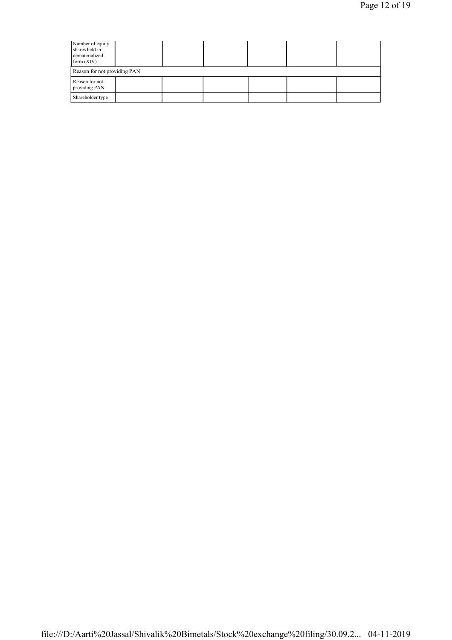| Number of equity<br>shares held in<br>dematerialized<br>form $(XIV)$ |  |  |  |  |  |  |
|----------------------------------------------------------------------|--|--|--|--|--|--|
| Reason for not providing PAN                                         |  |  |  |  |  |  |
| Reason for not<br>providing PAN                                      |  |  |  |  |  |  |
| Shareholder type                                                     |  |  |  |  |  |  |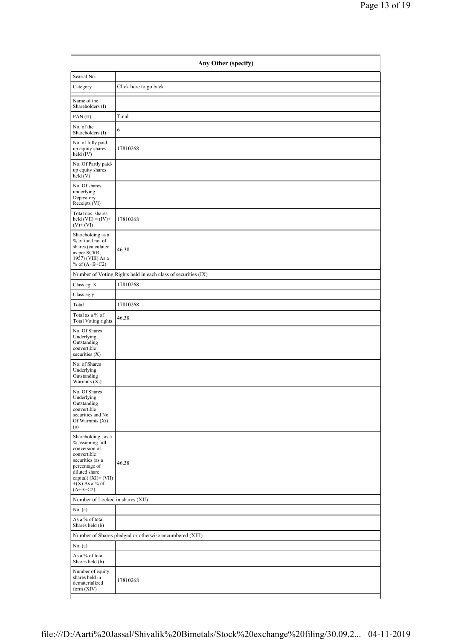| Searial No.                                                                                                                                                                           |                                                               |
|---------------------------------------------------------------------------------------------------------------------------------------------------------------------------------------|---------------------------------------------------------------|
| Category                                                                                                                                                                              | Click here to go back                                         |
| Name of the                                                                                                                                                                           |                                                               |
| Shareholders (I)                                                                                                                                                                      |                                                               |
| PAN(II)                                                                                                                                                                               | Total                                                         |
| No. of the<br>Shareholders (I)                                                                                                                                                        | $\sqrt{6}$                                                    |
| No. of fully paid<br>up equity shares<br>held (IV)                                                                                                                                    | 17810268                                                      |
| No. Of Partly paid-<br>up equity shares<br>held(V)                                                                                                                                    |                                                               |
| No. Of shares<br>underlying<br>Depository<br>Receipts (VI)                                                                                                                            |                                                               |
| Total nos. shares<br>held $(VII) = (IV) +$<br>$(V) + (VI)$                                                                                                                            | 17810268                                                      |
| Shareholding as a<br>% of total no. of<br>shares (calculated<br>as per SCRR,<br>1957) (VIII) As a<br>% of $(A+B+C2)$                                                                  | 46.38                                                         |
|                                                                                                                                                                                       | Number of Voting Rights held in each class of securities (IX) |
| Class eg: $\mathbf X$                                                                                                                                                                 | 17810268                                                      |
| Class eg:y                                                                                                                                                                            |                                                               |
| Total                                                                                                                                                                                 | 17810268                                                      |
| Total as a % of<br><b>Total Voting rights</b>                                                                                                                                         | 46.38                                                         |
| No. Of Shares<br>Underlying<br>Outstanding<br>convertible<br>securities (X)                                                                                                           |                                                               |
| No. of Shares<br>Underlying<br>Outstanding<br>Warrants (Xi)                                                                                                                           |                                                               |
| No. Of Shares<br>Underlying<br>Outstanding<br>convertible<br>securities and No.<br>Of Warrants (Xi)<br>(a)                                                                            |                                                               |
| Shareholding, as a<br>% assuming full<br>conversion of<br>convertible<br>securities (as a<br>percentage of<br>diluted share<br>capital) (XI)= (VII)<br>$+(X)$ As a % of<br>$(A+B+C2)$ | 46.38                                                         |
| Number of Locked in shares (XII)                                                                                                                                                      |                                                               |
| No. (a)                                                                                                                                                                               |                                                               |
| As a % of total<br>Shares held (b)                                                                                                                                                    |                                                               |
|                                                                                                                                                                                       | Number of Shares pledged or otherwise encumbered (XIII)       |
| No. (a)                                                                                                                                                                               |                                                               |
| As a % of total<br>Shares held (b)                                                                                                                                                    |                                                               |
| Number of equity<br>shares held in<br>dematerialized                                                                                                                                  | 17810268                                                      |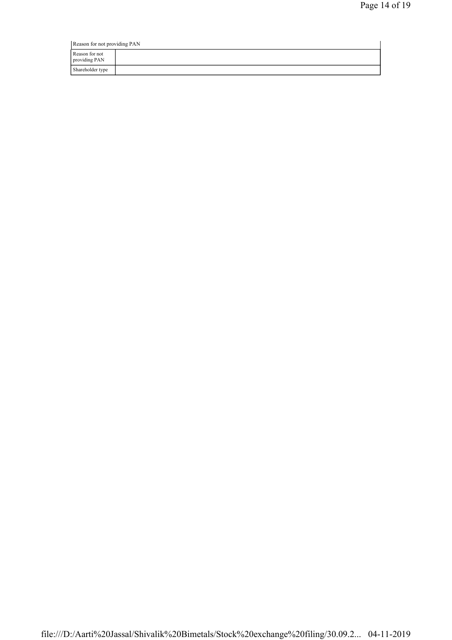| Reason for not providing PAN    |  |  |
|---------------------------------|--|--|
| Reason for not<br>providing PAN |  |  |
| Shareholder type                |  |  |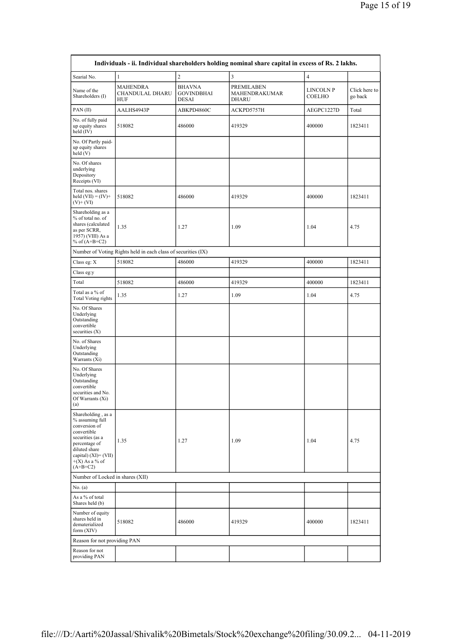| Individuals - ii. Individual shareholders holding nominal share capital in excess of Rs. 2 lakhs.                                                                                     |                                                               |                                                    |                                             |                     |                          |  |  |
|---------------------------------------------------------------------------------------------------------------------------------------------------------------------------------------|---------------------------------------------------------------|----------------------------------------------------|---------------------------------------------|---------------------|--------------------------|--|--|
| Searial No.                                                                                                                                                                           | $\mathbf{1}$                                                  | $\overline{2}$                                     | $\mathfrak{Z}$                              | $\overline{4}$      |                          |  |  |
| Name of the<br>Shareholders (I)                                                                                                                                                       | <b>MAHENDRA</b><br>CHANDULAL DHARU<br>HUF                     | <b>BHAVNA</b><br><b>GOVINDBHAI</b><br><b>DESAI</b> | PREMILABEN<br>MAHENDRAKUMAR<br><b>DHARU</b> | LINCOLN P<br>COELHO | Click here to<br>go back |  |  |
| PAN(II)                                                                                                                                                                               | AALHS4943P                                                    | ABKPD4860C                                         | ACKPD5757H                                  | AEGPC1227D          | Total                    |  |  |
| No. of fully paid<br>up equity shares<br>held (IV)                                                                                                                                    | 518082                                                        | 486000                                             | 419329                                      | 400000              | 1823411                  |  |  |
| No. Of Partly paid-<br>up equity shares<br>held (V)                                                                                                                                   |                                                               |                                                    |                                             |                     |                          |  |  |
| No. Of shares<br>underlying<br>Depository<br>Receipts (VI)                                                                                                                            |                                                               |                                                    |                                             |                     |                          |  |  |
| Total nos. shares<br>held $(VII) = (IV) +$<br>$(V)$ + $(VI)$                                                                                                                          | 518082                                                        | 486000                                             | 419329                                      | 400000              | 1823411                  |  |  |
| Shareholding as a<br>% of total no. of<br>shares (calculated<br>as per SCRR,<br>1957) (VIII) As a<br>% of $(A+B+C2)$                                                                  | 1.35                                                          | 1.27                                               | 1.09                                        | 1.04                | 4.75                     |  |  |
|                                                                                                                                                                                       | Number of Voting Rights held in each class of securities (IX) |                                                    |                                             |                     |                          |  |  |
| Class eg: X                                                                                                                                                                           | 518082                                                        | 486000                                             | 419329                                      | 400000              | 1823411                  |  |  |
| Class eg:y                                                                                                                                                                            |                                                               |                                                    |                                             |                     |                          |  |  |
| Total                                                                                                                                                                                 | 518082                                                        | 486000                                             | 419329                                      | 400000              | 1823411                  |  |  |
| Total as a % of<br><b>Total Voting rights</b>                                                                                                                                         | 1.35                                                          | 1.27                                               | 1.09                                        | 1.04                | 4.75                     |  |  |
| No. Of Shares<br>Underlying<br>Outstanding<br>convertible<br>securities $(X)$                                                                                                         |                                                               |                                                    |                                             |                     |                          |  |  |
| No. of Shares<br>Underlying<br>Outstanding<br>Warrants (Xi)                                                                                                                           |                                                               |                                                    |                                             |                     |                          |  |  |
| No. Of Shares<br>Underlying<br>Outstanding<br>convertible<br>securities and No.<br>Of Warrants (Xi)<br>(a)                                                                            |                                                               |                                                    |                                             |                     |                          |  |  |
| Shareholding, as a<br>% assuming full<br>conversion of<br>convertible<br>securities (as a<br>percentage of<br>diluted share<br>capital) (XI)= (VII)<br>$+(X)$ As a % of<br>$(A+B+C2)$ | 1.35                                                          | 1.27                                               | 1.09                                        | 1.04                | 4.75                     |  |  |
|                                                                                                                                                                                       | Number of Locked in shares (XII)                              |                                                    |                                             |                     |                          |  |  |
| No. (a)                                                                                                                                                                               |                                                               |                                                    |                                             |                     |                          |  |  |
| As a % of total<br>Shares held (b)                                                                                                                                                    |                                                               |                                                    |                                             |                     |                          |  |  |
| Number of equity<br>shares held in<br>dematerialized<br>form (XIV)                                                                                                                    | 518082                                                        | 486000                                             | 419329                                      | 400000              | 1823411                  |  |  |
| Reason for not providing PAN                                                                                                                                                          |                                                               |                                                    |                                             |                     |                          |  |  |
| Reason for not<br>providing PAN                                                                                                                                                       |                                                               |                                                    |                                             |                     |                          |  |  |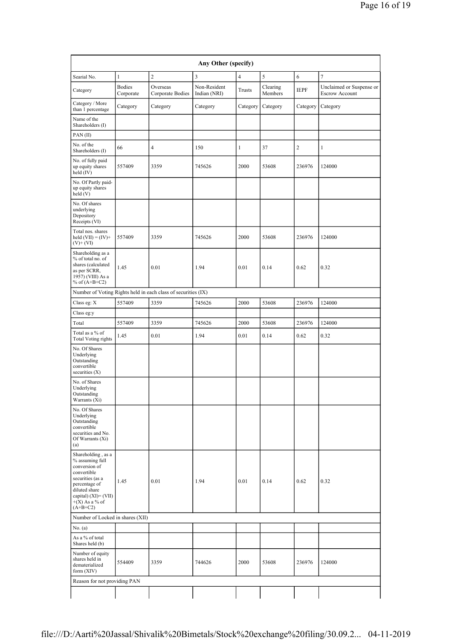| Searial No.                                                                                                                                                                           | $\mathbf{1}$               | $\overline{c}$                                                | 3                            | $\overline{4}$ | 5                   | 6           | $\overline{7}$                             |
|---------------------------------------------------------------------------------------------------------------------------------------------------------------------------------------|----------------------------|---------------------------------------------------------------|------------------------------|----------------|---------------------|-------------|--------------------------------------------|
| Category                                                                                                                                                                              | <b>Bodies</b><br>Corporate | Overseas<br>Corporate Bodies                                  | Non-Resident<br>Indian (NRI) | Trusts         | Clearing<br>Members | <b>IEPF</b> | Unclaimed or Suspense or<br>Escrow Account |
| Category / More<br>than 1 percentage                                                                                                                                                  | Category                   | Category                                                      | Category                     | Category       | Category            | Category    | Category                                   |
| Name of the<br>Shareholders (I)                                                                                                                                                       |                            |                                                               |                              |                |                     |             |                                            |
| PAN(II)                                                                                                                                                                               |                            |                                                               |                              |                |                     |             |                                            |
| No. of the<br>Shareholders (I)                                                                                                                                                        | 66                         | $\overline{4}$                                                | 150                          | $\mathbf{1}$   | 37                  | $\sqrt{2}$  | $\mathbf{1}$                               |
| No. of fully paid<br>up equity shares<br>held $(IV)$                                                                                                                                  | 557409                     | 3359                                                          | 745626                       | 2000           | 53608               | 236976      | 124000                                     |
| No. Of Partly paid-<br>up equity shares<br>held(V)                                                                                                                                    |                            |                                                               |                              |                |                     |             |                                            |
| No. Of shares<br>underlying<br>Depository<br>Receipts (VI)                                                                                                                            |                            |                                                               |                              |                |                     |             |                                            |
| Total nos. shares<br>held $(VII) = (IV) +$<br>$(V)+(VI)$                                                                                                                              | 557409                     | 3359                                                          | 745626                       | 2000           | 53608               | 236976      | 124000                                     |
| Shareholding as a<br>% of total no. of<br>shares (calculated<br>as per SCRR,<br>1957) (VIII) As a<br>% of $(A+B+C2)$                                                                  | 1.45                       | 0.01                                                          | 1.94                         | 0.01           | 0.14                | 0.62        | 0.32                                       |
|                                                                                                                                                                                       |                            | Number of Voting Rights held in each class of securities (IX) |                              |                |                     |             |                                            |
| Class eg: X                                                                                                                                                                           | 557409                     | 3359                                                          | 745626                       | 2000           | 53608               | 236976      | 124000                                     |
| Class eg:y                                                                                                                                                                            |                            |                                                               |                              |                |                     |             |                                            |
| Total                                                                                                                                                                                 | 557409                     | 3359                                                          | 745626                       | 2000           | 53608               | 236976      | 124000                                     |
| Total as a % of<br><b>Total Voting rights</b>                                                                                                                                         | 1.45                       | 0.01                                                          | 1.94                         | 0.01           | 0.14                | 0.62        | 0.32                                       |
| No. Of Shares<br>Underlying<br>Outstanding<br>convertible<br>securities $(X)$                                                                                                         |                            |                                                               |                              |                |                     |             |                                            |
| No. of Shares<br>Underlying<br>Outstanding<br>Warrants (Xi)                                                                                                                           |                            |                                                               |                              |                |                     |             |                                            |
| No. Of Shares<br>Underlying<br>Outstanding<br>convertible<br>securities and No.<br>Of Warrants (Xi)<br>(a)                                                                            |                            |                                                               |                              |                |                     |             |                                            |
| Shareholding, as a<br>% assuming full<br>conversion of<br>convertible<br>securities (as a<br>percentage of<br>diluted share<br>capital) (XI)= (VII)<br>$+(X)$ As a % of<br>$(A+B+C2)$ | 1.45                       | 0.01                                                          | 1.94                         | 0.01           | 0.14                | 0.62        | 0.32                                       |
| Number of Locked in shares (XII)                                                                                                                                                      |                            |                                                               |                              |                |                     |             |                                            |
| No. $(a)$                                                                                                                                                                             |                            |                                                               |                              |                |                     |             |                                            |
| As a % of total<br>Shares held (b)                                                                                                                                                    |                            |                                                               |                              |                |                     |             |                                            |
| Number of equity<br>shares held in<br>dematerialized<br>form $(XIV)$                                                                                                                  | 554409                     | 3359                                                          | 744626                       | 2000           | 53608               | 236976      | 124000                                     |
|                                                                                                                                                                                       |                            |                                                               |                              |                |                     |             |                                            |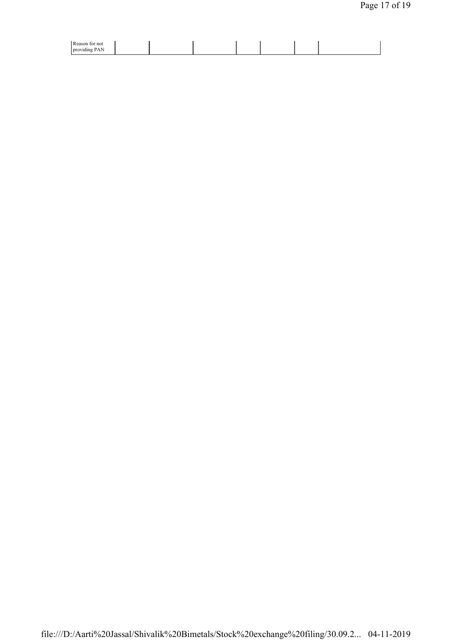| Rea<br>for not<br>. .<br>в.<br>, ILIII<br>$\mathbf{v}$ |  |  |
|--------------------------------------------------------|--|--|
|--------------------------------------------------------|--|--|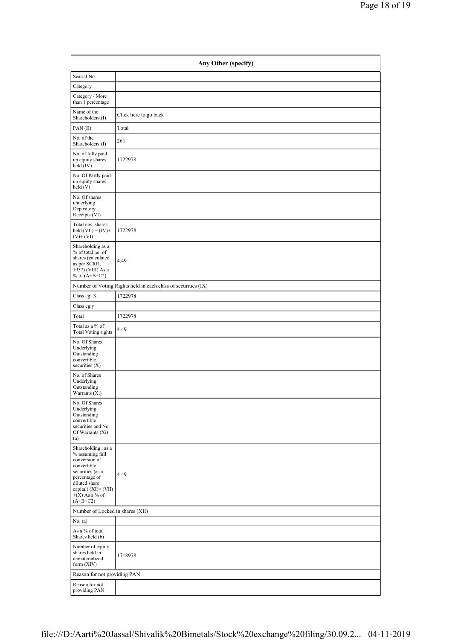| Any Other (specify)                                                                                                                                                                      |                                                               |  |  |  |
|------------------------------------------------------------------------------------------------------------------------------------------------------------------------------------------|---------------------------------------------------------------|--|--|--|
| Searial No.                                                                                                                                                                              |                                                               |  |  |  |
| Category                                                                                                                                                                                 |                                                               |  |  |  |
| Category / More<br>than 1 percentage                                                                                                                                                     |                                                               |  |  |  |
| Name of the<br>Shareholders (I)                                                                                                                                                          | Click here to go back                                         |  |  |  |
| PAN(II)                                                                                                                                                                                  | Total                                                         |  |  |  |
| No. of the<br>Shareholders (I)                                                                                                                                                           | 261                                                           |  |  |  |
| No. of fully paid<br>up equity shares<br>held (IV)                                                                                                                                       | 1722978                                                       |  |  |  |
| No. Of Partly paid-<br>up equity shares<br>held(V)                                                                                                                                       |                                                               |  |  |  |
| No. Of shares<br>underlying<br>Depository<br>Receipts (VI)                                                                                                                               |                                                               |  |  |  |
| Total nos. shares<br>held $(VII) = (IV) +$<br>$(V)$ + $(VI)$                                                                                                                             | 1722978                                                       |  |  |  |
| Shareholding as a<br>% of total no. of<br>shares (calculated<br>as per SCRR,<br>1957) (VIII) As a<br>% of $(A+B+C2)$                                                                     | 4.49                                                          |  |  |  |
|                                                                                                                                                                                          | Number of Voting Rights held in each class of securities (IX) |  |  |  |
| Class eg: X                                                                                                                                                                              | 1722978                                                       |  |  |  |
| Class eg:y                                                                                                                                                                               |                                                               |  |  |  |
| Total                                                                                                                                                                                    | 1722978                                                       |  |  |  |
| Total as a % of<br><b>Total Voting rights</b>                                                                                                                                            | 4.49                                                          |  |  |  |
| No. Of Shares<br>Underlying<br>Outstanding<br>convertible<br>securities $(X)$                                                                                                            |                                                               |  |  |  |
| No. of Shares<br>Underlying<br>Outstanding<br>Warrants (Xi)                                                                                                                              |                                                               |  |  |  |
| No. Of Shares<br>Underlying<br>Outstanding<br>convertible<br>securities and No.<br>Of Warrants (Xi)<br>(a)                                                                               |                                                               |  |  |  |
| Shareholding, as a<br>% assuming full<br>conversion of<br>convertible<br>securities (as a<br>percentage of<br>diluted share<br>capital) $(XI) = (VII)$<br>$+(X)$ As a % of<br>$(A+B+C2)$ | 4.49                                                          |  |  |  |
| Number of Locked in shares (XII)                                                                                                                                                         |                                                               |  |  |  |
| No. (a)                                                                                                                                                                                  |                                                               |  |  |  |
| As a % of total<br>Shares held (b)                                                                                                                                                       |                                                               |  |  |  |
| Number of equity<br>shares held in<br>dematerialized<br>form $(XIV)$                                                                                                                     | 1718978                                                       |  |  |  |
| Reason for not providing PAN                                                                                                                                                             |                                                               |  |  |  |
| Reason for not<br>providing PAN                                                                                                                                                          |                                                               |  |  |  |